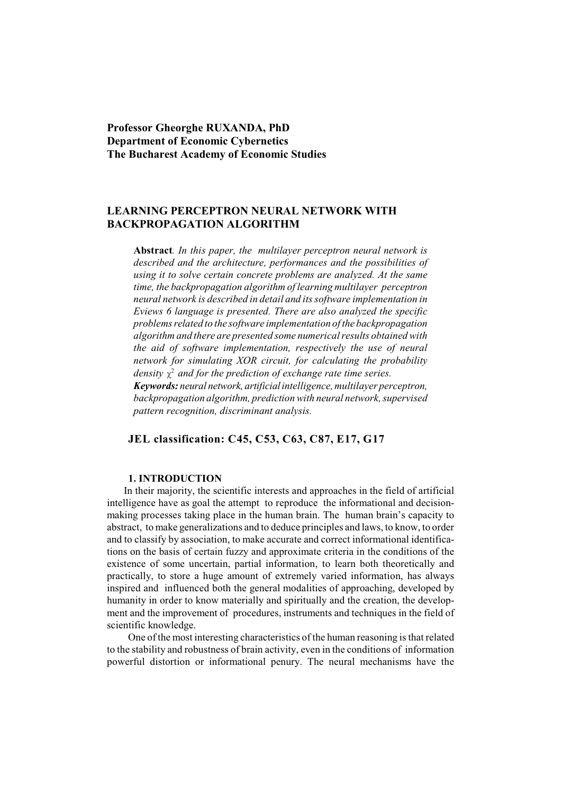**Professor Gheorghe RUXANDA, PhD Department of Economic Cybernetics The Bucharest Academy of Economic Studies**

# **LEARNING PERCEPTRON NEURAL NETWORK WITH BACKPROPAGATION ALGORITHM**

**Abstract***. In this paper, the multilayer perceptron neural network is described and the architecture, performances and the possibilities of using it to solve certain concrete problems are analyzed. At the same time, the backpropagation algorithm of learning multilayer perceptron neural network is described in detail and its software implementation in Eviews 6 language is presented. There are also analyzed the specific problems related to the software implementation of the backpropagation algorithm and there are presented some numerical results obtained with the aid of software implementation, respectively the use of neural network for simulating XOR circuit, for calculating the probability density*  $\chi^2$  *and for the prediction of exchange rate time series.* 

*Keywords: neural network, artificialintelligence, multilayer perceptron, backpropagation algorithm, prediction with neural network, supervised pattern recognition, discriminant analysis.*

## **JEL classification: C45, C53, C63, C87, E17, G17**

## **1. INTRODUCTION**

In their majority, the scientific interests and approaches in the field of artificial intelligence have as goal the attempt to reproduce the informational and decisionmaking processes taking place in the human brain. The human brain's capacity to abstract, to make generalizations and to deduce principles and laws, to know, to order and to classify by association, to make accurate and correct informational identifications on the basis of certain fuzzy and approximate criteria in the conditions of the existence of some uncertain, partial information, to learn both theoretically and practically, to store a huge amount of extremely varied information, has always inspired and influenced both the general modalities of approaching, developed by humanity in order to know materially and spiritually and the creation, the development and the improvement of procedures, instruments and techniques in the field of scientific knowledge.

One of the most interesting characteristics of the human reasoning is that related to the stability and robustness of brain activity, even in the conditions of information powerful distortion or informational penury. The neural mechanisms have the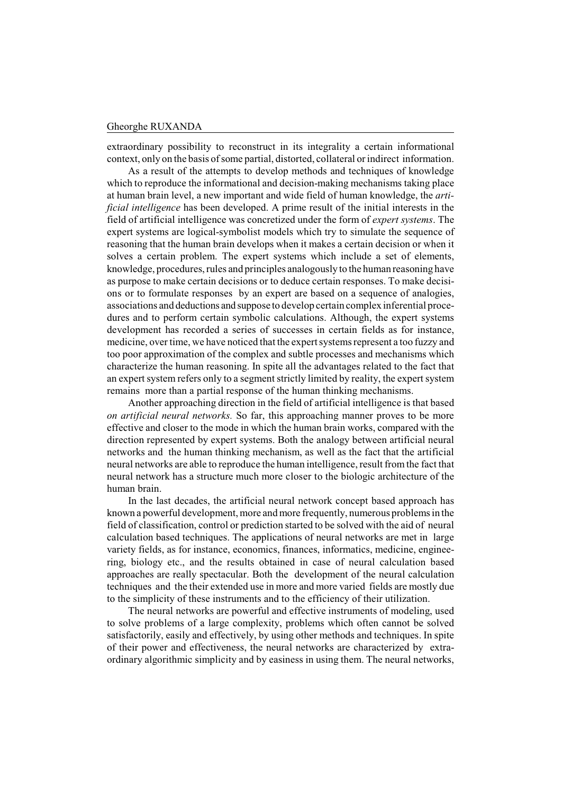extraordinary possibility to reconstruct in its integrality a certain informational context, only on the basis of some partial, distorted, collateral or indirect information.

As a result of the attempts to develop methods and techniques of knowledge which to reproduce the informational and decision-making mechanisms taking place at human brain level, a new important and wide field of human knowledge, the *artificial intelligence* has been developed. A prime result of the initial interests in the field of artificial intelligence was concretized under the form of *expert systems*. The expert systems are logical-symbolist models which try to simulate the sequence of reasoning that the human brain develops when it makes a certain decision or when it solves a certain problem. The expert systems which include a set of elements, knowledge, procedures, rules and principles analogously to the human reasoning have as purpose to make certain decisions or to deduce certain responses. To make decisions or to formulate responses by an expert are based on a sequence of analogies, associations and deductions and suppose to develop certain complex inferential procedures and to perform certain symbolic calculations. Although, the expert systems development has recorded a series of successes in certain fields as for instance, medicine, over time, we have noticed that the expert systems represent a too fuzzy and too poor approximation of the complex and subtle processes and mechanisms which characterize the human reasoning. In spite all the advantages related to the fact that an expert system refers only to a segment strictly limited by reality, the expert system remains more than a partial response of the human thinking mechanisms.

Another approaching direction in the field of artificial intelligence is that based *on artificial neural networks.* So far, this approaching manner proves to be more effective and closer to the mode in which the human brain works, compared with the direction represented by expert systems. Both the analogy between artificial neural networks and the human thinking mechanism, as well as the fact that the artificial neural networks are able to reproduce the human intelligence, result from the fact that neural network has a structure much more closer to the biologic architecture of the human brain.

In the last decades, the artificial neural network concept based approach has known a powerful development, more and more frequently, numerous problems in the field of classification, control or prediction started to be solved with the aid of neural calculation based techniques. The applications of neural networks are met in large variety fields, as for instance, economics, finances, informatics, medicine, engineering, biology etc., and the results obtained in case of neural calculation based approaches are really spectacular. Both the development of the neural calculation techniques and the their extended use in more and more varied fields are mostly due to the simplicity of these instruments and to the efficiency of their utilization.

The neural networks are powerful and effective instruments of modeling, used to solve problems of a large complexity, problems which often cannot be solved satisfactorily, easily and effectively, by using other methods and techniques. In spite of their power and effectiveness, the neural networks are characterized by extraordinary algorithmic simplicity and by easiness in using them. The neural networks,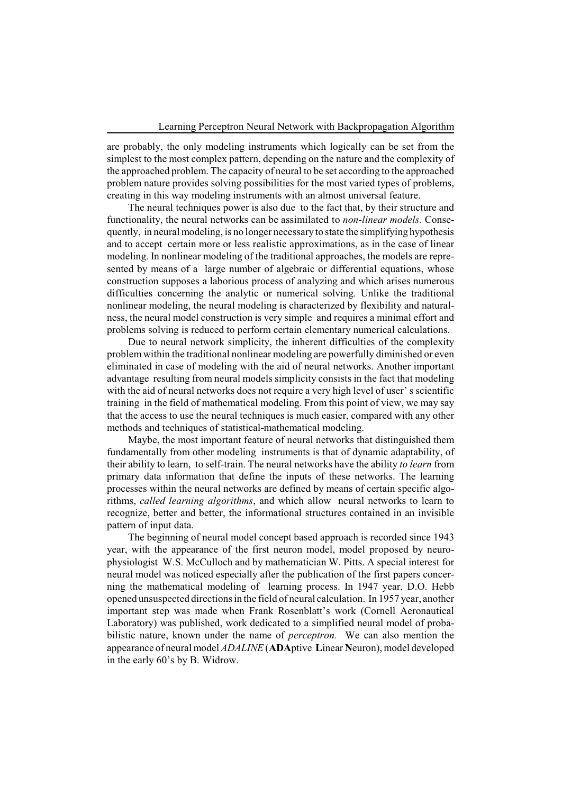are probably, the only modeling instruments which logically can be set from the simplest to the most complex pattern, depending on the nature and the complexity of the approached problem. The capacity of neural to be set according to the approached problem nature provides solving possibilities for the most varied types of problems, creating in this way modeling instruments with an almost universal feature.

The neural techniques power is also due to the fact that, by their structure and functionality, the neural networks can be assimilated to *non-linear models.* Consequently, in neural modeling, is no longer necessary to state the simplifying hypothesis and to accept certain more or less realistic approximations, as in the case of linear modeling. In nonlinear modeling of the traditional approaches, the models are represented by means of a large number of algebraic or differential equations, whose construction supposes a laborious process of analyzing and which arises numerous difficulties concerning the analytic or numerical solving. Unlike the traditional nonlinear modeling, the neural modeling is characterized by flexibility and naturalness, the neural model construction is very simple and requires a minimal effort and problems solving is reduced to perform certain elementary numerical calculations.

Due to neural network simplicity, the inherent difficulties of the complexity problem within the traditional nonlinear modeling are powerfully diminished or even eliminated in case of modeling with the aid of neural networks. Another important advantage resulting from neural models simplicity consists in the fact that modeling with the aid of neural networks does not require a very high level of user' s scientific training in the field of mathematical modeling. From this point of view, we may say that the access to use the neural techniques is much easier, compared with any other methods and techniques of statistical-mathematical modeling.

Maybe, the most important feature of neural networks that distinguished them fundamentally from other modeling instruments is that of dynamic adaptability, of their ability to learn, to self-train. The neural networks have the ability *to learn* from primary data information that define the inputs of these networks. The learning processes within the neural networks are defined by means of certain specific algorithms, *called learning algorithms*, and which allow neural networks to learn to recognize, better and better, the informational structures contained in an invisible pattern of input data.

The beginning of neural model concept based approach is recorded since 1943 year, with the appearance of the first neuron model, model proposed by neurophysiologist W.S. McCulloch and by mathematician W. Pitts. A special interest for neural model was noticed especially after the publication of the first papers concerning the mathematical modeling of learning process. In 1947 year, D.O. Hebb opened unsuspected directions in the field of neural calculation. In 1957 year, another important step was made when Frank Rosenblatt's work (Cornell Aeronautical Laboratory) was published, work dedicated to a simplified neural model of probabilistic nature, known under the name of *perceptron.* We can also mention the appearance of neural model *ADALINE* (**ADA**ptive **L**inear **N**euron), model developed in the early 60's by B. Widrow.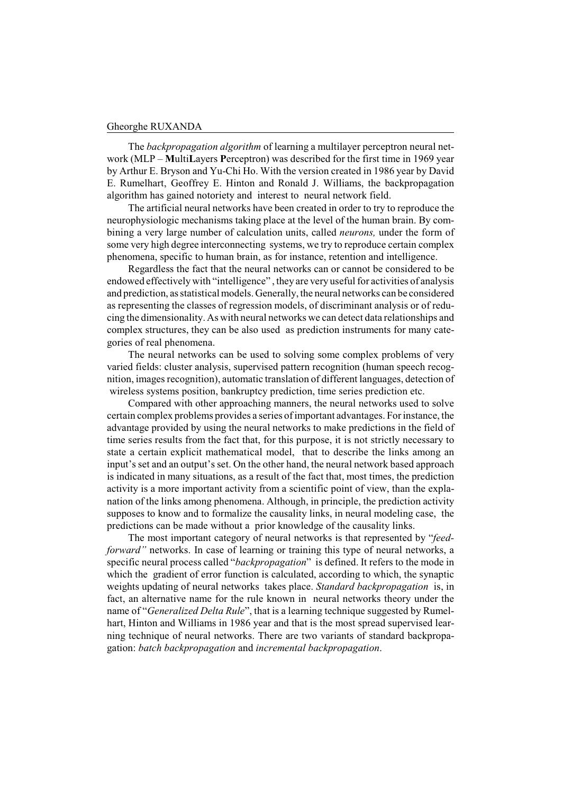The *backpropagation algorithm* of learning a multilayer perceptron neural network (MLP – **M**ulti**L**ayers **P**erceptron) was described for the first time in 1969 year by Arthur E. Bryson and Yu-Chi Ho. With the version created in 1986 year by David E. Rumelhart, Geoffrey E. Hinton and Ronald J. Williams, the backpropagation algorithm has gained notoriety and interest to neural network field.

The artificial neural networks have been created in order to try to reproduce the neurophysiologic mechanisms taking place at the level of the human brain. By combining a very large number of calculation units, called *neurons,* under the form of some very high degree interconnecting systems, we try to reproduce certain complex phenomena, specific to human brain, as for instance, retention and intelligence.

Regardless the fact that the neural networks can or cannot be considered to be endowed effectively with "intelligence" , they are very useful for activities of analysis and prediction, as statistical models. Generally, the neural networks can be considered as representing the classes of regression models, of discriminant analysis or of reducing the dimensionality. As with neural networks we can detect data relationships and complex structures, they can be also used as prediction instruments for many categories of real phenomena.

The neural networks can be used to solving some complex problems of very varied fields: cluster analysis, supervised pattern recognition (human speech recognition, images recognition), automatic translation of different languages, detection of wireless systems position, bankruptcy prediction, time series prediction etc.

Compared with other approaching manners, the neural networks used to solve certain complex problems provides a series of important advantages. For instance, the advantage provided by using the neural networks to make predictions in the field of time series results from the fact that, for this purpose, it is not strictly necessary to state a certain explicit mathematical model, that to describe the links among an input's set and an output's set. On the other hand, the neural network based approach is indicated in many situations, as a result of the fact that, most times, the prediction activity is a more important activity from a scientific point of view, than the explanation of the links among phenomena. Although, in principle, the prediction activity supposes to know and to formalize the causality links, in neural modeling case, the predictions can be made without a prior knowledge of the causality links.

The most important category of neural networks is that represented by "*feedforward"* networks. In case of learning or training this type of neural networks, a specific neural process called "*backpropagation*" is defined. It refers to the mode in which the gradient of error function is calculated, according to which, the synaptic weights updating of neural networks takes place. *Standard backpropagation* is, in fact, an alternative name for the rule known in neural networks theory under the name of "*Generalized Delta Rule*", that is a learning technique suggested by Rumelhart, Hinton and Williams in 1986 year and that is the most spread supervised learning technique of neural networks. There are two variants of standard backpropagation: *batch backpropagation* and *incremental backpropagation*.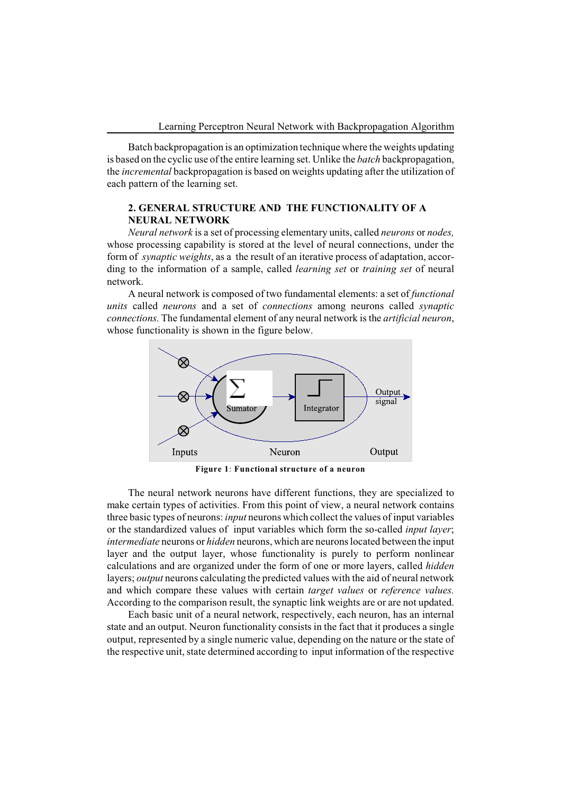Batch backpropagation is an optimization technique where the weights updating is based on the cyclic use of the entire learning set. Unlike the *batch* backpropagation, the *incremental* backpropagation is based on weights updating after the utilization of each pattern of the learning set.

## **2. GENERAL STRUCTURE AND THE FUNCTIONALITY OF A NEURAL NETWORK**

*Neural network* is a set of processing elementary units, called *neurons* or *nodes,* whose processing capability is stored at the level of neural connections, under the form of *synaptic weights*, as a the result of an iterative process of adaptation, according to the information of a sample, called *learning set* or *training set* of neural network.

A neural network is composed of two fundamental elements: a set of *functional units* called *neurons* and a set of *connections* among neurons called *synaptic connections.* The fundamental element of any neural network is the *artificial neuron*, whose functionality is shown in the figure below.



**Figure 1**: **Functional structure of a neuron**

The neural network neurons have different functions, they are specialized to make certain types of activities. From this point of view, a neural network contains three basic types of neurons: *input* neurons which collect the values of input variables or the standardized values of input variables which form the so-called *input layer*; *intermediate* neurons or *hidden* neurons, which are neurons located between the input layer and the output layer, whose functionality is purely to perform nonlinear calculations and are organized under the form of one or more layers, called *hidden* layers; *output* neurons calculating the predicted values with the aid of neural network and which compare these values with certain *target values* or *reference values.* According to the comparison result, the synaptic link weights are or are not updated.

Each basic unit of a neural network, respectively, each neuron, has an internal state and an output. Neuron functionality consists in the fact that it produces a single output, represented by a single numeric value, depending on the nature or the state of the respective unit, state determined according to input information of the respective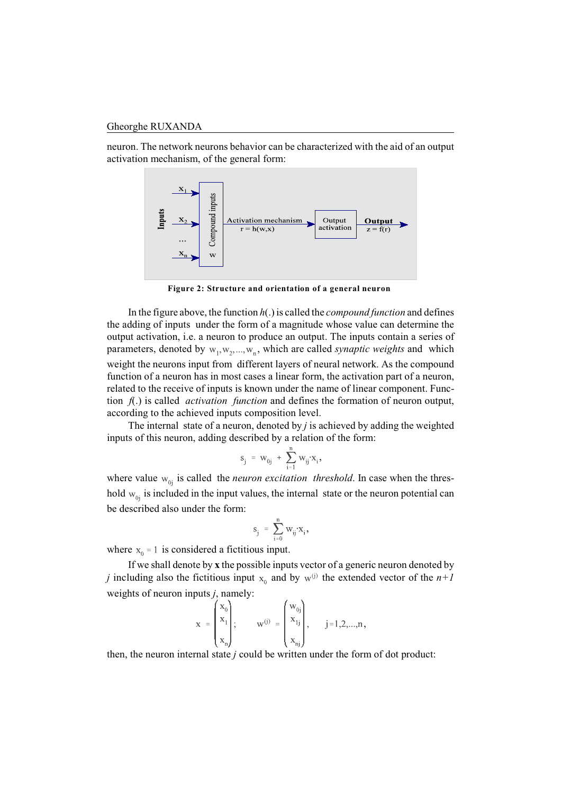neuron. The network neurons behavior can be characterized with the aid of an output activation mechanism, of the general form:



**Figure 2: Structure and orientation of a general neuron**

In the figure above, the function *h*(.) is called the *compound function* and defines the adding of inputs under the form of a magnitude whose value can determine the output activation, i.e. a neuron to produce an output. The inputs contain a series of parameters, denoted by  $w_1, w_2, ..., w_n$ , which are called *synaptic weights* and which weight the neurons input from different layers of neural network. As the compound function of a neuron has in most cases a linear form, the activation part of a neuron, related to the receive of inputs is known under the name of linear component. Function *f*(.) is called *activation function* and defines the formation of neuron output, according to the achieved inputs composition level.

The internal state of a neuron, denoted by *j* is achieved by adding the weighted inputs of this neuron, adding described by a relation of the form:

$$
s_j \ = \ w_{0j} \ + \ \sum_{i=1}^n w_{ij} {\cdot} x_i \,,
$$

where value  $w_{0j}$  is called the *neuron excitation threshold*. In case when the threshold  $w_{0i}$  is included in the input values, the internal state or the neuron potential can be described also under the form:

$$
\mathbf{s}_j = \sum_{i=0}^n \mathbf{w}_{ij} \mathbf{x}_i,
$$

where  $x_0 = 1$  is considered a fictitious input.

If we shall denote by **x** the possible inputs vector of a generic neuron denoted by *j* including also the fictitious input  $x_0$  and by  $w^{(j)}$  the extended vector of the  $n+1$ weights of neuron inputs *j*, namely:

$$
\mathbf{x} = \begin{pmatrix} \mathbf{x}_0 \\ \mathbf{x}_1 \\ \mathbf{x}_n \end{pmatrix}; \qquad \mathbf{w}^{(j)} = \begin{pmatrix} \mathbf{w}_{0j} \\ \mathbf{x}_{1j} \\ \mathbf{x}_{nj} \end{pmatrix}, \qquad j = 1, 2, ..., n,
$$

then, the neuron internal state *j* could be written under the form of dot product: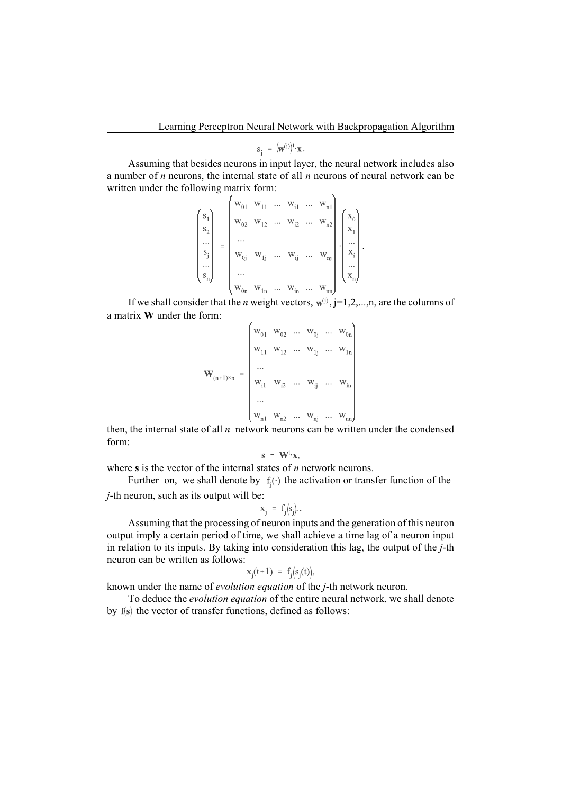$$
\mathbf{s}_{\mathbf{i}} = (\mathbf{w}^{(j)})^{\mathbf{t}} \cdot \mathbf{x}.
$$

Assuming that besides neurons in input layer, the neural network includes also a number of *n* neurons, the internal state of all *n* neurons of neural network can be written under the following matrix form:

$$
\begin{pmatrix}\ns_1 \\
s_2 \\
\vdots \\
s_j \\
\vdots \\
s_n\n\end{pmatrix}\n=\n\begin{pmatrix}\nw_{01} & w_{11} & \dots & w_{i1} & \dots & w_{n1} \\
w_{02} & w_{12} & \dots & w_{i2} & \dots & w_{n2} \\
\vdots & \vdots & \ddots & \vdots & \vdots \\
w_{0j} & w_{1j} & \dots & w_{ij} & \dots & w_{nj} \\
\vdots & \vdots & \vdots & \ddots & \vdots \\
w_{0n} & w_{1n} & \dots & w_{in} & \dots & w_{nn}\n\end{pmatrix}\n\cdot\n\begin{pmatrix}\nx_0 \\
x_1 \\
\vdots \\
x_n\n\end{pmatrix}.
$$

If we shall consider that the *n* weight vectors,  $w^{(j)}$ ,  $j=1,2,...,n$ , are the columns of a matrix **W** under the form:  $\overline{1}$  $\Delta$ 

$$
\mathbf{W}_{(n+1)\times n} = \begin{pmatrix} w_{01} & w_{02} & \dots & w_{0j} & \dots & w_{0n} \\ w_{11} & w_{12} & \dots & w_{1j} & \dots & w_{1n} \\ \dots & & & & & & \\ w_{i1} & w_{i2} & \dots & w_{ij} & \dots & w_{in} \\ \dots & & & & & \\ w_{n1} & w_{n2} & \dots & w_{nj} & \dots & w_{nn} \end{pmatrix}
$$

then, the internal state of all *n* network neurons can be written under the condensed form:

$$
s = W^t \cdot x,
$$

where **s** is the vector of the internal states of *n* network neurons.

Further on, we shall denote by  $f_i(\cdot)$  the activation or transfer function of the *j*-th neuron, such as its output will be:

$$
\mathbf{x}_i = \mathbf{f}_i(\mathbf{s}_i).
$$

Assuming that the processing of neuron inputs and the generation of this neuron output imply a certain period of time, we shall achieve a time lag of a neuron input in relation to its inputs. By taking into consideration this lag, the output of the *j*-th neuron can be written as follows:

$$
x_i(t+1) = f_i(s_i(t)),
$$

known under the name of *evolution equation* of the *j*-th network neuron.

To deduce the *evolution equation* of the entire neural network, we shall denote by the vector of transfer functions, defined as follows: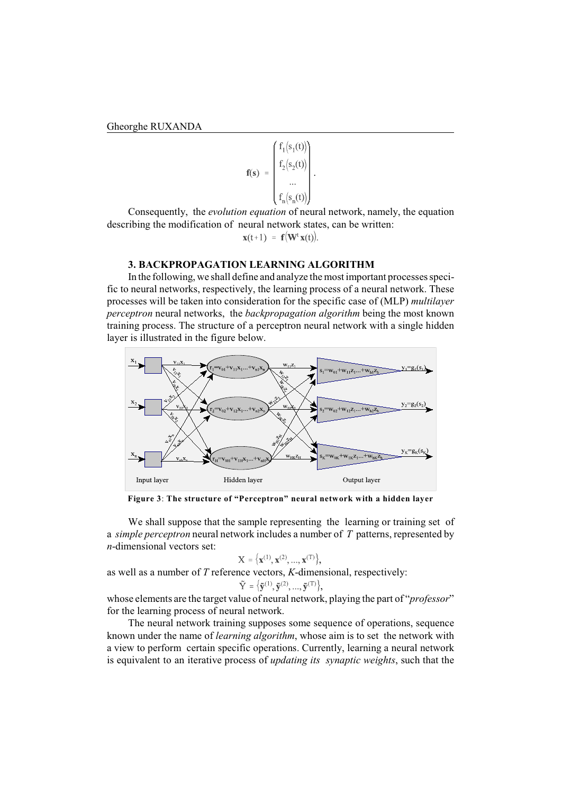$$
\mathbf{f}(\mathbf{s}) = \begin{pmatrix} f_1(s_1(t)) \\ f_2(s_2(t)) \\ \dots \\ f_n(s_n(t)) \end{pmatrix}.
$$

Consequently, the *evolution equation* of neural network, namely, the equation describing the modification of neural network states, can be written:

$$
\mathbf{x}(t+1) = \mathbf{f}(\mathbf{W}^t \mathbf{x}(t))
$$

### **3. BACKPROPAGATION LEARNING ALGORITHM**

In the following, we shall define and analyze the most important processes specific to neural networks, respectively, the learning process of a neural network. These processes will be taken into consideration for the specific case of (MLP) *multilayer perceptron* neural networks, the *backpropagation algorithm* being the most known training process. The structure of a perceptron neural network with a single hidden layer is illustrated in the figure below.



**Figure 3**: **The structure of "Perceptron" neural network with a hidden layer**

We shall suppose that the sample representing the learning or training set of a *simple perceptron* neural network includes a number of *T* patterns, represented by *n*-dimensional vectors set:

$$
X = \{x^{(1)}, x^{(2)}, ..., x^{(T)}\},
$$

as well as a number of *T* reference vectors, *K*-dimensional, respectively:

$$
\check{\mathbf{\zeta}} = \left\{ \tilde{\mathbf{y}}^{(1)}, \tilde{\mathbf{y}}^{(2)}, ..., \tilde{\mathbf{y}}^{(T)} \right\},\
$$

whose elements are the target value of neural network, playing the part of "*professor*" for the learning process of neural network.

The neural network training supposes some sequence of operations, sequence known under the name of *learning algorithm*, whose aim is to set the network with a view to perform certain specific operations. Currently, learning a neural network is equivalent to an iterative process of *updating its synaptic weights*, such that the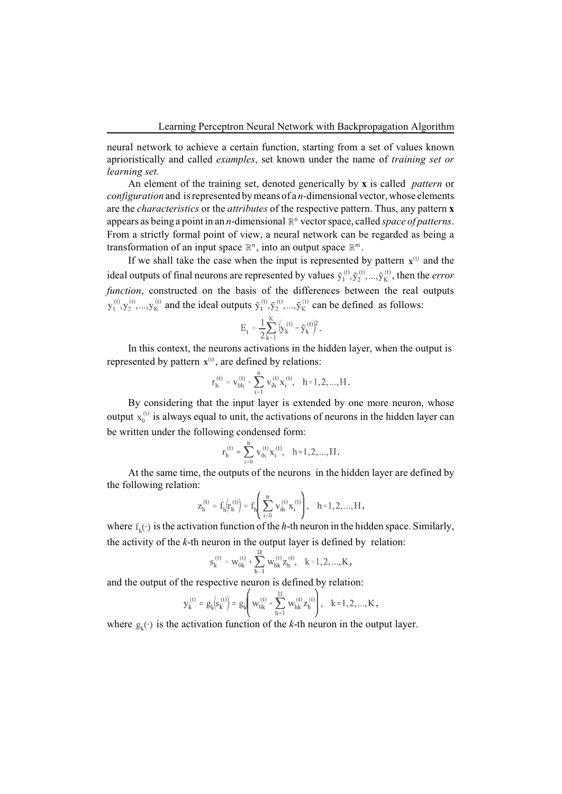neural network to achieve a certain function, starting from a set of values known aprioristically and called *examples*, set known under the name of *training set or learning set.*

An element of the training set, denoted generically by **x** is called*pattern* or *configuration* and is represented by means of a *n-*dimensional vector, whose elements are the *characteristics* or the *attributes* of the respective pattern. Thus, any pattern **x** appears as being a point in an *n*-dimensional  $\mathbb{R}^n$  vector space, called *space of patterns*. From a strictly formal point of view, a neural network can be regarded as being a transformation of an input space  $\mathbb{R}^n$ , into an output space  $\mathbb{R}^m$ .

If we shall take the case when the input is represented by pattern  $x^{(t)}$  and the ideal outputs of final neurons are represented by values  $\tilde{y}_1^{(t)}, \tilde{y}_2^{(t)}, ..., \tilde{y}_K^{(t)}$ , then the *error function*, constructed on the basis of the differences between the real outputs  $y_1^{(t)}, y_2^{(t)},..., y_K^{(t)}$  and the ideal outputs  $\tilde{y}_1^{(t)}, \tilde{y}_2^{(t)},...,\tilde{y}_K^{(t)}$  can be defined as follows:

$$
E_t = \frac{1}{2} \sum_{k=1}^{K} \left( y_k^{(t)} - \tilde{y}_k^{(t)} \right)^2.
$$

In this context, the neurons activations in the hidden layer, when the output is represented by pattern  $\mathbf{x}^{(t)}$ , are defined by relations:

$$
\mathbf{r}_{\mathrm{h}}^{(t)} = \mathbf{v}_{0h}^{(t)} + \sum_{i=1}^{n} \mathbf{v}_{ih}^{(t)} \mathbf{x}_{i}^{(t)}, \quad h=1,2,...,H.
$$

By considering that the input layer is extended by one more neuron, whose output  $x_0^{(t)}$  is always equal to unit, the activations of neurons in the hidden layer can be written under the following condensed form:

$$
r_h^{(t)} = \sum_{i=0}^{n} v_{ih}^{(t)} x_i^{(t)}, \quad h=1,2,...,H
$$

.

At the same time, the outputs of the neurons in the hidden layer are defined by the following relation:

$$
z_h^{(t)} = f_h(r_h^{(t)}) = f_h\left(\sum_{i=0}^n v_{ih}^{(t)} x_i^{(t)}\right), \quad h=1,2,...,H,
$$

where  $f_h(\cdot)$  is the activation function of the *h*-th neuron in the hidden space. Similarly, the activity of the *k*-th neuron in the output layer is defined by relation:

$$
s_k^{(t)} = w_{0k}^{(t)} + \sum_{h=1}^{H} w_{hk}^{(t)} z_h^{(t)}, \quad k = 1, 2, ..., K,
$$

and the output of the respective neuron is defined by relation:

$$
y_k^{(t)} = g_k\left(s_k^{(t)}\right) = g_k\left(w_{0k}^{(t)} + \sum_{h=1}^H w_{hk}^{(t)} z_h^{(t)}\right), \quad k\!=\!1,2,...,K,
$$

where  $g_{\nu}(\cdot)$  is the activation function of the *k*-th neuron in the output layer.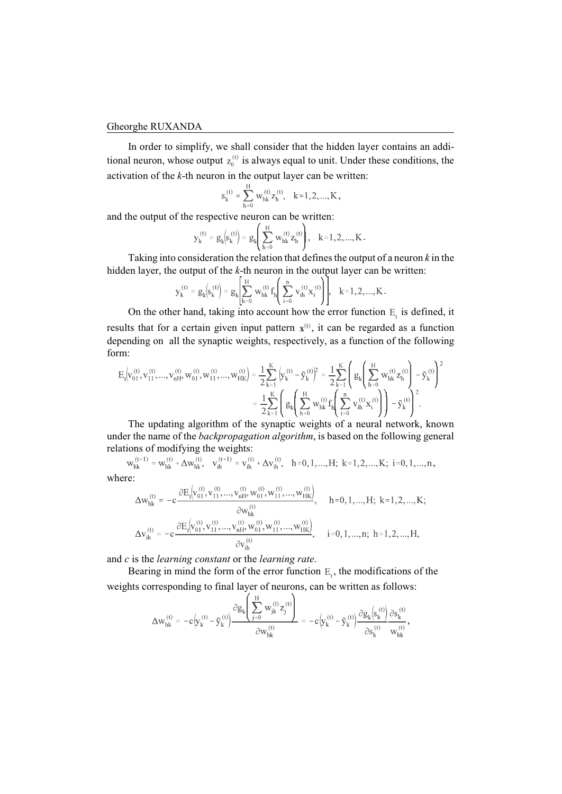In order to simplify, we shall consider that the hidden layer contains an additional neuron, whose output  $z_0^{(t)}$  is always equal to unit. Under these conditions, the activation of the *k*-th neuron in the output layer can be written:

$$
s_k^{(t)} = \sum_{h=0}^{H} w_{hk}^{(t)} z_h^{(t)}, \quad k=1,2,...,K,
$$

and the output of the respective neuron can be written:

$$
y_k^{(t)} = g_k\left(s_k^{(t)}\right) = g_k\left(\sum_{h=0}^H w_{hk}^{(t)} z_h^{(t)}\right), \quad k\!=\!1,2,...,K\,.
$$

Taking into consideration the relation that defines the output of a neuron *k* in the hidden layer, the output of the *k*-th neuron in the output layer can be written:

$$
y_k^{(t)} = g_k(s_k^{(t)}) = g_k \left[ \sum_{h=0}^H w_{hk}^{(t)} f_h \left( \sum_{i=0}^n v_{ih}^{(t)} x_i^{(t)} \right) \right], \quad k = 1, 2, ..., K.
$$

On the other hand, taking into account how the error function  $E_t$  is defined, it results that for a certain given input pattern  $x^{(t)}$ , it can be regarded as a function depending on all the synaptic weights, respectively, as a function of the following form:

$$
E_t \Big[ v_{01}^{(t)}, v_{11}^{(t)}, ..., v_{nH}^{(t)}, w_{01}^{(t)}, w_{11}^{(t)}, ..., w_{HK}^{(t)} \Big] = \frac{1}{2} \sum_{k=1}^K \Big( y_k^{(t)} - \tilde{y}_k^{(t)} \Big)^2 = \frac{1}{2} \sum_{k=1}^K \Bigg( g_k \Bigg( \sum_{h=0}^H w_{hk}^{(t)} z_h^{(t)} \Bigg) - \tilde{y}_k^{(t)} \Bigg)^2
$$

$$
= \frac{1}{2} \sum_{k=1}^K \Bigg( g_k \Bigg( \sum_{h=0}^H w_{hk}^{(t)} f_h \Bigg( \sum_{i=0}^n v_{ih}^{(t)} x_i^{(t)} \Bigg) \Bigg) - \tilde{y}_k^{(t)} \Bigg)^2.
$$

The updating algorithm of the synaptic weights of a neural network, known under the name of the *backpropagation algorithm*, is based on the following general relations of modifying the weights:

 $W_{hk}^{(t+1)} = W_{hk}^{(t)} + \Delta W_{hk}^{(t)}, \quad V_{ih}^{(t+1)} = V_{ih}^{(t)} + \Delta V_{ih}^{(t)}, \quad h = 0, 1, ..., H; \ k = 1, 2, ..., K; \ i = 0, 1, ..., n,$ 

where:

$$
\Delta w_{hk}^{(t)} = -c \frac{\partial E_t \left[v_{01}^{(t)}, v_{11}^{(t)}, \dots, v_{nH}^{(t)}, w_{01}^{(t)}, w_{11}^{(t)}, \dots, w_{HK}^{(t)}\right]}{\partial w_{hk}^{(t)}}, \quad h = 0, 1, ..., H; k = 1, 2, ..., K; \Delta v_{ih}^{(t)} = -c \frac{\partial E_t \left[v_{01}^{(t)}, v_{11}^{(t)}, \dots, v_{nh}^{(t)}, w_{01}^{(t)}, w_{11}^{(t)}, \dots, w_{HK}^{(t)}\right]}{\partial v_{ih}^{(t)}}, \quad i = 0, 1, ..., n; h = 1, 2, ..., H,
$$

and *c* is the *learning constant* or the *learning rate*.

Bearing in mind the form of the error function  $E_t$ , the modifications of the weights corresponding to final layer of neurons, can be written as follows:

$$
\Delta w_{hk}^{(t)} = -c \Big| y_k^{(t)} - \tilde y_k^{(t)} \Big| \frac{\partial g_k \Bigg( \displaystyle\sum_{j=0}^{H} w_{jk}^{(t)} z_j^{(t)} \Bigg)}{\partial w_{hk}^{(t)}} = -c \Big| y_k^{(t)} - \tilde y_k^{(t)} \Big| \frac{\partial g_k \Big| s_k^{(t)} \Bigg)}{\partial s_k^{(t)}} \frac{\partial s_k^{(t)}}{w_{hk}^{(t)}},
$$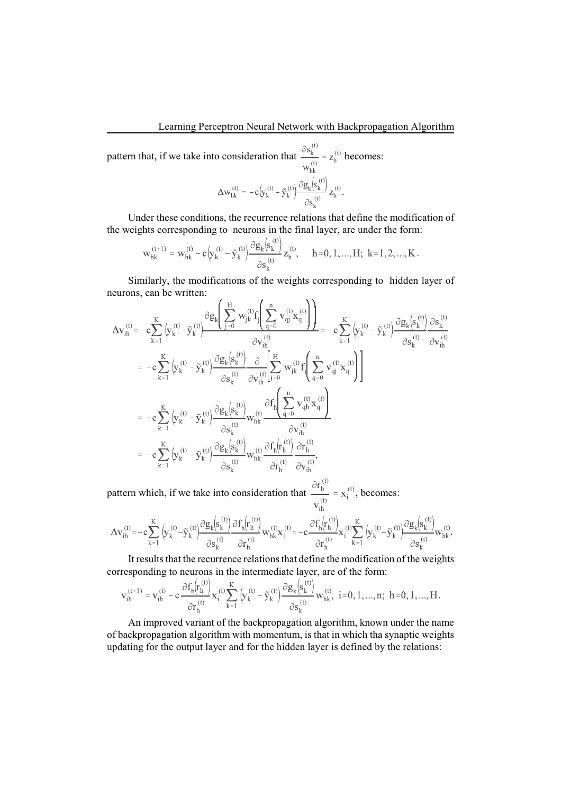pattern that, if we take into consideration that  $\frac{\partial s_k^{(t)}}{w_{hk}^{(t)}} = z_h^{(t)}$  becomes:

$$
\Delta w_{hk}^{(t)} = -c \Big( y_k^{(t)} - \tilde{y}_k^{(t)} \Big) \frac{\partial g_k \Big( s_k^{(t)} \Big)}{\partial s_k^{(t)}} z_h^{(t)}.
$$

Under these conditions, the recurrence relations that define the modification of the weights corresponding to neurons in the final layer, are under the form:

$$
w_{hk}^{(t+1)} = w_{hk}^{(t)} - c \left( y_k^{(t)} - \tilde{y}_k^{(t)} \right) \frac{\partial g_k(s_k^{(t)})}{\partial s_k^{(t)}} z_h^{(t)}, \quad h = 0, 1, ..., H; \ k = 1, 2, ..., K.
$$

Similarly, the modifications of the weights corresponding to hidden layer of neurons, can be written: J.  $\sqrt{2}$ 

$$
\begin{aligned} \Delta\mathbf{v}_{ih}^{(t)} & = -c\sum_{k=1}^{K}\left(y_{k}^{(t)}-\tilde{y}_{k}^{(t)}\right) \frac{\partial g_{k}\left(\sum_{j=0}^{H}w_{jk}^{(t)}f_{j}\left(\sum_{q=0}^{n}v_{qj}^{(t)}x_{q}^{(t)}\right)\right)}{\partial v_{ih}^{(t)}} = -c\sum_{k=1}^{K}\left(y_{k}^{(t)}-\tilde{y}_{k}^{(t)}\right) \frac{\partial g_{k}\left(s_{k}^{(t)}\right)}{\partial v_{ih}^{(t)}} \frac{\partial g_{k}\left(s_{k}^{(t)}\right)}{\partial v_{ih}^{(t)}} \frac{\partial g_{k}\left(s_{k}^{(t)}\right)}{\partial v_{ih}^{(t)}} \frac{\partial g_{k}\left(s_{k}^{(t)}\right)}{\partial v_{ih}^{(t)}} \frac{\partial g_{k}\left(s_{k}^{(t)}\right)}{\partial v_{ih}^{(t)}} \frac{\partial g_{k}\left(s_{k}^{(t)}\right)}{\partial v_{ih}^{(t)}} \frac{\partial g_{k}\left(s_{k}^{(t)}\right)}{\partial v_{ih}^{(t)}} \frac{\partial f_{h}\left(\sum_{q=0}^{n}v_{qj}^{(t)}x_{q}^{(t)}\right)}{\partial v_{ih}^{(t)}} \\ & = -c\sum_{k=1}^{K}\left(y_{k}^{(t)}-\tilde{y}_{k}^{(t)}\right) \frac{\partial g_{k}\left(s_{k}^{(t)}\right)}{\partial s_{k}^{(t)}} w_{hk}^{(t)} \frac{\partial f_{h}\left(\sum_{q=0}^{n}v_{qh}^{(t)}x_{q}^{(t)}\right)}{\partial v_{ih}^{(t)}} \\ & = -c\sum_{k=1}^{K}\left(y_{k}^{(t)}-\tilde{y}_{k}^{(t)}\right) \frac{\partial g_{k}\left(s_{k}^{(t)}\right)}{\partial s_{k}^{(t)}} w_{hk}^{(t)} \frac{\partial f_{h}\left(r_{h}^{(t)}\right)}{\partial r_{h}^{(t)}} \frac{\partial r_{h}^{(t)}}{\partial v_{ih}^{(t)}}, \end{aligned}
$$

pattern which, if we take into consideration that  $\frac{\partial r_h^{(t)}}{v_{i.}} = x_i^{(t)}$ , becomes:

$$
\Delta v^{(t)}_{ih} \!=\! -c \!\sum\limits_{k=1}^{K}\int\limits_{k}^{(t)}\!\! \!-\! \tilde{y}^{(t)}_{k}\!\!-\!\!\tilde{y}^{(t)}_{k}\!\! \left(\!\dfrac{\partial g_{k}\!\! \left(\!s_{k}^{(t)}\!\right)}{\partial s_{k}^{(t)}}\! \dfrac{\partial f_{h}\!\! \left(\!r_{h}^{(t)}\!\right)}{\partial r_{h}^{(t)}}\! w_{hk}^{(t)}x_{i}^{(t)} \!=\! -c \!\dfrac{\partial f_{h}\!\! \left(\!r_{h}^{(t)}\!\right)}{\partial r_{h}^{(t)}}\! x_{i}^{(t)}\! \sum\limits_{k=1}^{K}\left(\!y_{k}^{(t)}\!-\!\tilde{y}_{k}^{(t)}\!\right)\!\dfrac{\partial g_{k}\!\! \left(\!s_{k}^{(t)}\!\right)}{\partial s_{k}^{(t)}}\! w_{hk}^{(t)}\! .
$$

It results that the recurrence relations that define the modification of the weights corresponding to neurons in the intermediate layer, are of the form:

$$
\mathbf{v}_{ih}^{(t+1)} = \mathbf{v}_{ih}^{(t)} - c \, \frac{\partial f_h(r_h^{(t)})}{\partial r_h^{(t)}} \mathbf{x}_i^{(t)} \sum_{k=1}^K \left( y_k^{(t)} - \tilde{\mathbf{y}}_k^{(t)} \right) \frac{\partial g_k \left( s_k^{(t)} \right)}{\partial s_k^{(t)}} \mathbf{w}_{hk}^{(t)}, \ \ i = 0, 1, ..., n; \ \ h = 0, 1, ..., H.
$$

An improved variant of the backpropagation algorithm, known under the name of backpropagation algorithm with momentum, is that in which tha synaptic weights updating for the output layer and for the hidden layer is defined by the relations: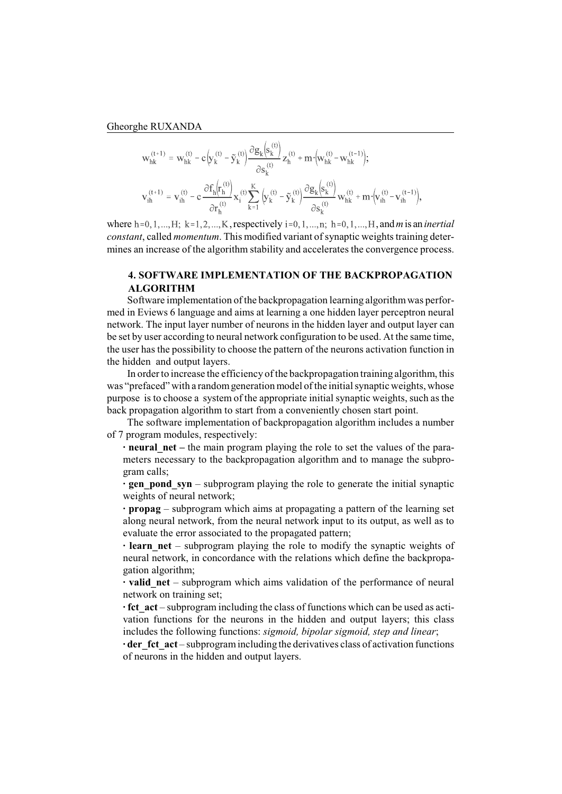$$
\begin{aligned} \mathbf{w}_{hk}^{(t+1)} &= \mathbf{w}_{hk}^{(t)} - c\Big(\!y_k^{(t)}\!-\!\tilde{y}_k^{(t)}\!\Big) \frac{\partial g_k\Big(\!s_k^{(t)}\!\Big)}{\partial s_k^{(t)}} z_h^{(t)} + m\!\cdot\!\Big(\!w_{hk}^{(t)}\!-\!w_{hk}^{(t-1)}\!\Big);\\ \mathbf{v}_{ih}^{(t+1)} &= \mathbf{v}_{ih}^{(t)} - c\frac{\partial f_h\! \Big(\!r_h^{(t)}\!\Big)}{\partial r_h^{(t)}} x_i^{(t)} \!\sum_{k=1}^K \Big(\!y_k^{(t)}\!-\!\tilde{y}_k^{(t)}\!\Big) \frac{\partial g_k\Big(\!s_k^{(t)}\!\Big)}{\partial s_k^{(t)}} w_{hk}^{(t)} + m\!\cdot\!\Big(\!v_{ih}^{(t)}\!-\!v_{ih}^{(t-1)}\!\Big), \end{aligned}
$$

where  $h=0, 1, \ldots, H$ ;  $k=1, 2, \ldots, K$ , respectively  $i=0, 1, \ldots, n$ ;  $h=0, 1, \ldots, H$ , and *m* is an *inertial constant*, called *momentum*. This modified variant of synaptic weights training determines an increase of the algorithm stability and accelerates the convergence process.

# **4. SOFTWARE IMPLEMENTATION OF THE BACKPROPAGATION ALGORITHM**

Software implementation of the backpropagation learning algorithm was performed in Eviews 6 language and aims at learning a one hidden layer perceptron neural network. The input layer number of neurons in the hidden layer and output layer can be set by user according to neural network configuration to be used. At the same time, the user has the possibility to choose the pattern of the neurons activation function in the hidden and output layers.

In order to increase the efficiency of the backpropagation training algorithm, this was "prefaced" with a randomgeneration model of the initial synaptic weights, whose purpose is to choose a system of the appropriate initial synaptic weights, such as the back propagation algorithm to start from a conveniently chosen start point.

The software implementation of backpropagation algorithm includes a number of 7 program modules, respectively:

**· neural\_net –** the main program playing the role to set the values of the parameters necessary to the backpropagation algorithm and to manage the subprogram calls;

**• gen pond syn** – subprogram playing the role to generate the initial synaptic weights of neural network;

**· propag** – subprogram which aims at propagating a pattern of the learning set along neural network, from the neural network input to its output, as well as to evaluate the error associated to the propagated pattern;

**· learn net** – subprogram playing the role to modify the synaptic weights of neural network, in concordance with the relations which define the backpropagation algorithm;

**· valid\_net** – subprogram which aims validation of the performance of neural network on training set;

**· fct\_act** – subprogram including the class of functions which can be used as activation functions for the neurons in the hidden and output layers; this class includes the following functions: *sigmoid, bipolar sigmoid, step and linear*;

**· der fct act** – subprogram including the derivatives class of activation functions of neurons in the hidden and output layers.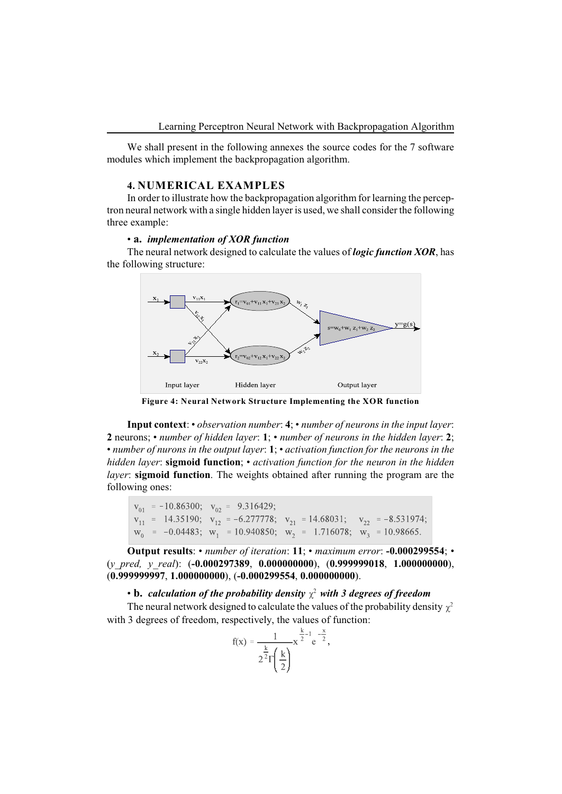We shall present in the following annexes the source codes for the 7 software modules which implement the backpropagation algorithm.

#### **4. NUMERICAL EXAMPLES**

In order to illustrate how the backpropagation algorithm for learning the perceptron neural network with a single hidden layer is used, we shall consider the following three example:

#### • **a.** *implementation of XOR function*

The neural network designed to calculate the values of *logic function XOR*, has the following structure:



**Figure 4: Neural Network Structure Implementing the XOR function**

**Input context**: • *observation number*: **4**; • *number of neurons in the input layer*: **2** neurons; • *number of hidden layer*: **1**; • *number of neurons in the hidden layer*: **2**; • *number of nurons in the output layer*: **1**; • *activation function for the neurons in the hidden layer*: **sigmoid function**; • *activation function for the neuron in the hidden layer*: **sigmoid function**. The weights obtained after running the program are the following ones:

```
V_{01} = -10.86300; V_{02} = 9.316429;<br>
V_{11} = 14.35190; V_{12} = -6.277778; V_{21} = 14.68031; V_{22} = -8.531974;<br>
W_0 = -0.04483; W_1 = 10.940850; W_2 = 1.716078; W_3 = 10.98665.
```
**Output results**: • *number of iteration*: **11**; • *maximum error*: **-0.000299554**; • (*y\_pred, y\_real*): (**-0.000297389**, **0.000000000**), (**0.999999018**, **1.000000000**), (**0.999999997**, **1.000000000**), (**-0.000299554**, **0.000000000**).

• **b.** calculation of the probability density  $\chi^2$  with 3 degrees of freedom

The neural network designed to calculate the values of the probability density  $\chi^2$ with 3 degrees of freedom, respectively, the values of function:

$$
f(x) = \frac{1}{2^{\frac{k}{2}} \Gamma\left(\frac{k}{2}\right)} x^{\frac{k}{2}-1} e^{-\frac{x}{2}},
$$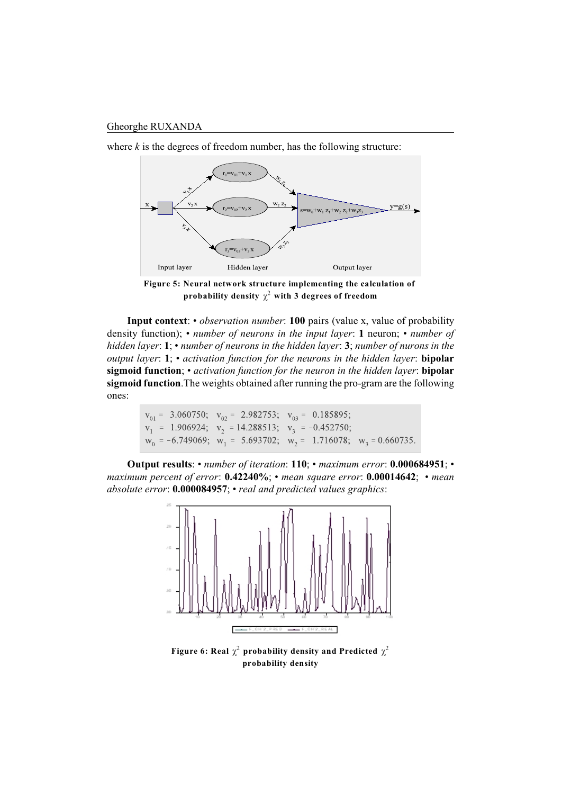

where  $k$  is the degrees of freedom number, has the following structure:

**Figure 5: Neural network structure implementing the calculation of**  probability density  $\chi^2$  with 3 degrees of freedom

**Input context**: • *observation number*: **100** pairs (value x, value of probability density function); • *number of neurons in the input layer*: **1** neuron; • *number of hidden layer*: **1**; • *number of neurons in the hidden layer*: **3**; *number of nurons in the output layer*: **1**; • *activation function for the neurons in the hidden layer*: **bipolar sigmoid function**; • *activation function for the neuron in the hidden layer*: **bipolar sigmoid function**.The weights obtained after running the pro-gram are the following ones:

$$
v_{01} = 3.060750
$$
;  $v_{02} = 2.982753$ ;  $v_{03} = 0.185895$ ;  
\n $v_1 = 1.906924$ ;  $v_2 = 14.288513$ ;  $v_3 = -0.452750$ ;  
\n $w_0 = -6.749069$ ;  $w_1 = 5.693702$ ;  $w_2 = 1.716078$ ;  $w_3 = 0.660735$ .

**Output results**: • *number of iteration*: **110**; • *maximum error*: **0.000684951**; • *maximum percent of error*: **0.42240%**; • *mean square error*: **0.00014642**; • *mean absolute error*: **0.000084957**; • *real and predicted values graphics*:



**Figure 6: Real**  $\chi^2$  **probability density and Predicted**  $\chi^2$ **probability density**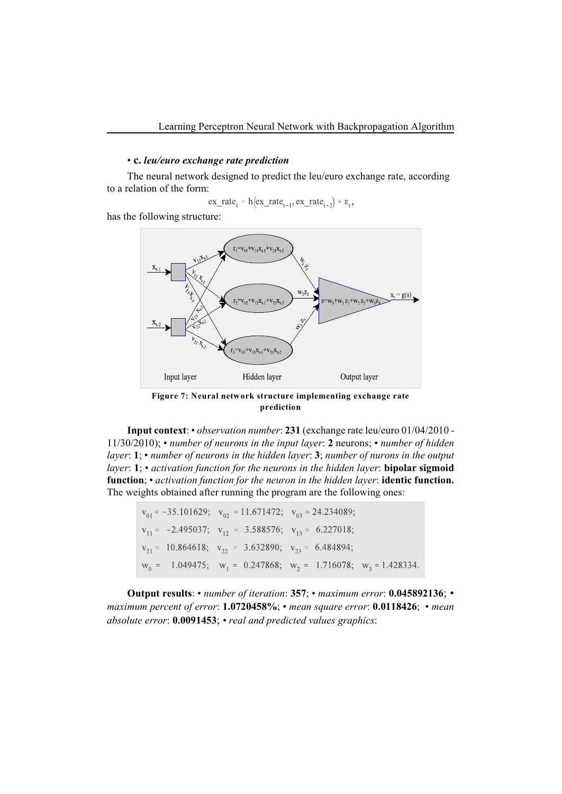## • **c.** *leu/euro exchange rate prediction*

The neural network designed to predict the leu/euro exchange rate, according to a relation of the form:

$$
ex\_rate_t = h(ex\_rate_{t-1}, ex\_rate_{t-2}) + \varepsilon_t,
$$

has the following structure:



**Figure 7: Neural network structure implementing exchange rate prediction**

**Input context**: • *observation number*: **231** (exchange rate leu/euro 01/04/2010 - 11/30/2010); • *number of neurons in the input layer*: **2** neurons; • *number of hidden layer*: **1**; • *number of neurons in the hidden layer*: **3**; *number of nurons in the output layer*: **1**; • *activation function for the neurons in the hidden layer*: **bipolar sigmoid function**; • *activation function for the neuron in the hidden layer*: **identic function.** The weights obtained after running the program are the following ones:

| $ v_{01} = -35.101629; v_{02} = 11.671472; v_{03} = 24.234089;$             |  |  |
|-----------------------------------------------------------------------------|--|--|
| $V_{11} = -2.495037$ ; $V_{12} = 3.588576$ ; $V_{13} = 6.227018$ ;          |  |  |
| $v_{21} = 10.864618$ ; $v_{22} = 3.632890$ ; $v_{23} = 6.484894$ ;          |  |  |
| $w_0 = 1.049475$ ; $w_1 = 0.247868$ ; $w_2 = 1.716078$ ; $w_3 = 1.428334$ . |  |  |

**Output results**: • *number of iteration*: **357**; • *maximum error*: **0.045892136**; • *maximum percent of error*: **1.0720458%**; • *mean square error*: **0.0118426**; • *mean absolute error*: **0.0091453**; • *real and predicted values graphics*: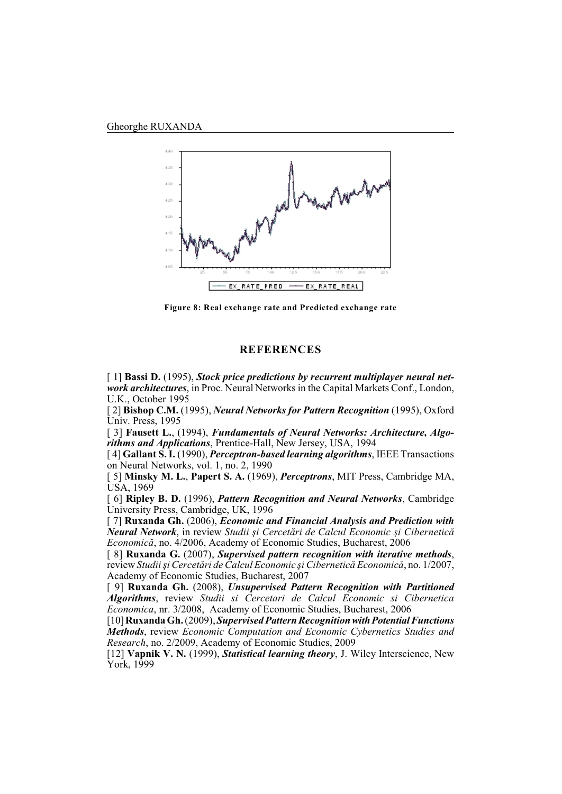

**Figure 8: Real exchange rate and Predicted exchange rate**

### **REFERENCES**

[ 1] **Bassi D.** (1995), *Stock price predictions by recurrent multiplayer neural network architectures*, in Proc. Neural Networks in the Capital Markets Conf., London, U.K., October 1995

[ 2] **Bishop C.M.** (1995), *Neural Networks for Pattern Recognition* (1995), Oxford Univ. Press, 1995

[ 3] **Fausett L.**, (1994), *Fundamentals of Neural Networks: Architecture, Algorithms and Applications*, Prentice-Hall, New Jersey, USA, 1994

[ 4] **Gallant S. I.** (1990), *Perceptron-based learning algorithms*, IEEE Transactions on Neural Networks, vol. 1, no. 2, 1990

[ 5] **Minsky M. L.**, **Papert S. A.** (1969), *Perceptrons*, MIT Press, Cambridge MA, USA, 1969

[ 6] **Ripley B. D.** (1996), *Pattern Recognition and Neural Networks*, Cambridge University Press, Cambridge, UK, 1996

[ 7] **Ruxanda Gh.** (2006), *Economic and Financial Analysis and Prediction with Neural Network*, in review *Studii ºi Cercetãri de Calcul Economic ºi Ciberneticã Economicã*, no. 4/2006, Academy of Economic Studies, Bucharest, 2006

[ 8] **Ruxanda G.** (2007), *Supervised pattern recognition with iterative methods*, review *Studiiºi Cercetãri de Calcul Economic ºi Ciberneticã Economicã*, no. 1/2007, Academy of Economic Studies, Bucharest, 2007

[ 9] **Ruxanda Gh.** (2008), *Unsupervised Pattern Recognition with Partitioned Algorithms*, review *Studii si Cercetari de Calcul Economic si Cibernetica Economica*, nr. 3/2008, Academy of Economic Studies, Bucharest, 2006

[10] **Ruxanda Gh.** (2009),*Supervised Pattern Recognition with Potential Functions Methods*, review *Economic Computation and Economic Cybernetics Studies and Research*, no. 2/2009, Academy of Economic Studies, 2009

[12] **Vapnik V. N.** (1999), *Statistical learning theory*, J. Wiley Interscience, New York, 1999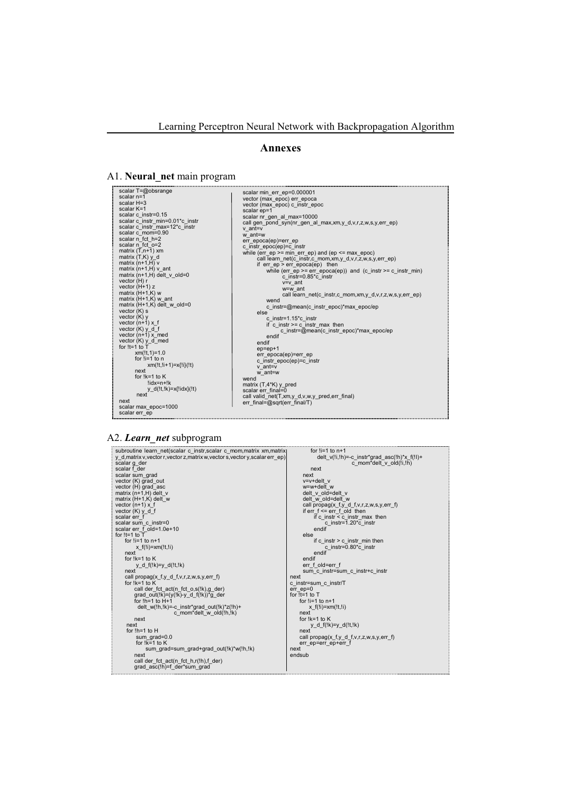### **Annexes**

#### A1. **Neural\_net** main program

scalar T=@obsrange<br>scalar T=@obsrange<br>scalar K=1<br>scalar K=1<br>scalar C\_instr=0.15<br>scalar c\_instr=0.15<br>scalar c\_instr\_min=0.01\*c\_instr<br>scalar c\_instr\_min=12\*c\_instr<br>scalar n\_fc\_h=2<br>scalar n\_fc\_h=2<br>scalar n\_fc\_h=2<br>matrix (T,A+ vector (K) y<br>vector (n+1) x\_f<br>vector (K) <u>y\_d\_f</u><br>vector (n+1) x\_med<br>vector (K) <u>y\_d\_</u>med<br>for !t=1 to T xm(!t,1)=1.0 for !i=1 to n  $xm(l;1;1+1)=x(l;1)(lt)$ <br>next next for !k=1 to K !idx=n+!k y\_d(!t,!k)=x{!idx}(!t) next next scalar max\_epoc=1000

scalar min\_err\_ep=0.000001 vector (max\_epoc) err\_epoca vector (max\_epoc) c\_instr\_epoc scalar ep=1<br>scalar nr\_gen\_al\_max=10000<br>call gen\_pond\_syn(nr\_gen\_al\_max,xm,y\_d,v,r,z,w,s,y,err\_ep)<br>v\_ant=v w\_ant=w<br>
e\_instr\_epocq(ep)=c\_instr<br>
c\_instr\_epocq(ep)=c\_instr<br>
while (err\_ep >= min\_err\_ep) and (ep <= max\_epoc)<br>
call learn\_net(c\_instr,c\_mom,xm,y\_d,v,r,z,w,s,y,err\_ep)<br>
if err\_ep >= rr\_epoca(ep) then<br>
while (err\_ep >= er if c\_instr >= c\_instr\_max then c\_instr=@mean(c\_instr\_epoc)\*max\_epoc/ep endif endif ep=ep+1 err\_epoca(ep)=err\_ep c\_instr\_epoc(ep)=c\_instr v\_ant=v w\_ant=w wend matrix (T,4\*K) y\_pred<br>scalar err\_final=0<br>call valid\_net(T,xm,y\_d,v,w,y\_pred,err\_final)<br>err\_final=@sqrt(err\_final/T)

#### A2. *Learn\_net* subprogram

scalar err\_ep

| subroutine learn net(scalar c instr, scalar c mom, matrix xm, matrix)                           | for $!i=1$ to $n+1$                                                                |
|-------------------------------------------------------------------------------------------------|------------------------------------------------------------------------------------|
| y d, matrix v, vector r, vector z, matrix w, vector s, vector y, scalar err ep)<br>scalar g der | delt $v($ !!,!h)=-c instr*grad asc $($ !h)*x f $($ !!)+<br>c mom*delt v old(!i,!h) |
| scalar f der                                                                                    | next                                                                               |
| scalar sum grad                                                                                 | next                                                                               |
| vector (K) grad out                                                                             | $v=v+del$ v                                                                        |
| vector (H) grad asc                                                                             | w=w+delt w                                                                         |
| matrix $(n+1,H)$ delt v                                                                         | delt v old=delt v                                                                  |
| matrix $(H+1,K)$ delt w                                                                         | delt w old=delt w                                                                  |
| vector $(n+1)$ x f                                                                              | call propag(x $f,y$ d $f,v,r,z,w,s,y,err f$ )                                      |
| vector $(K)$ y d f                                                                              | if $er f \leq er r f$ old then                                                     |
| scalar err f                                                                                    | if c instr $\leq$ c instr max then                                                 |
| scalar sum c instr=0                                                                            | c instr=1.20 $*$ c instr                                                           |
| scalar err f old=1.0e+10                                                                        | endif                                                                              |
| for $!t=1$ to $T$                                                                               | else                                                                               |
| for $1i = 1$ to $n+1$                                                                           | if c instr $>$ c instr min then                                                    |
| $x$ f(!i)= $x$ m(!t,!i)                                                                         | c instr= $0.80*$ c instr                                                           |
| next                                                                                            | endif<br>endif                                                                     |
| for $!k=1$ to K                                                                                 |                                                                                    |
| y d $f(!k)=y$ d( $!t, !k$ )                                                                     | err f old=err f                                                                    |
| next                                                                                            | sum c instr=sum c instr+c instr                                                    |
| call propag(x f,y d f,v,r,z,w,s,y,err f)<br>for $lk=1$ to $K$                                   | next                                                                               |
| call der fct act(n fct o,s(!k),g der)                                                           | c instr=sum c instr/T<br>$err$ ep= $0$                                             |
| grad out(!k)=( $y($ !k)- $y$ d f(!k))*g der                                                     | for $It = 1$ to $T$                                                                |
| for $1h=1$ to $H+1$                                                                             | for $!i=1$ to $n+1$                                                                |
| delt w(!h,!k)=-c_instr*grad_out(!k)*z(!h)+                                                      | x $f(!i) = xm(!t,!i)$                                                              |
| c mom*delt w old(!h,!k)                                                                         | next                                                                               |
| next                                                                                            | for $!k=1$ to $K$                                                                  |
| next                                                                                            | y d $f(!k)=y$ d( $!t, !k$ )                                                        |
| for $!h=1$ to $H$                                                                               | next                                                                               |
| sum $grad=0.0$                                                                                  | call propag(x f,y d f,v,r,z,w,s,y,err f)                                           |
| for $lk=1$ to K                                                                                 | err ep=err ep+err f                                                                |
| sum grad=sum grad+grad out(!k)*w(!h,!k)                                                         | next                                                                               |
| next                                                                                            | endsub                                                                             |
| call der fct act(n fct h,r(!h),f der)                                                           |                                                                                    |
| grad asc(!h)=f der*sum grad                                                                     |                                                                                    |
|                                                                                                 |                                                                                    |